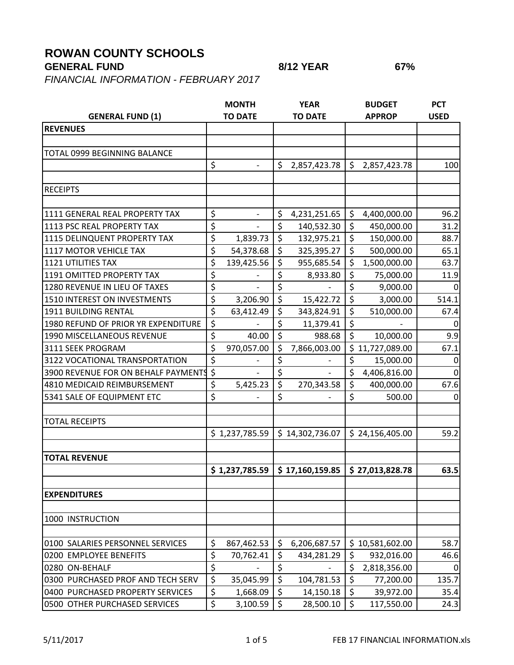## **ROWAN COUNTY SCHOOLS**

## **GENERAL FUND 8/12 YEAR 67%**

*FINANCIAL INFORMATION - FEBRUARY 2017*

**MONTH YEAR BUDGET PCT GENERAL FUND (1) TO DATE TO DATE APPROP USED REVENUES** TOTAL 0999 BEGINNING BALANCE  $\begin{array}{cccc|c} \n\text{S} & - & \text{S} & 2,857,423.78 & \text{S} & 2,857,423.78 & \text{I} & 100 \\
\end{array}$ RECEIPTS 1111 GENERAL REAL PROPERTY TAX  $\begin{array}{|c|c|c|c|c|c|}\hline \text{S}}&1.231,251.65 & \text{S} & 4,400,000.00 & \text{S} & 96.2 & \text{S} & 4,0000.00 & \text{S} & 96.2 & \text{S} & 96.2 & \text{S} & 96.2 & \text{S} & 96.2 & \text{S} & 96.2 & \text{S} & 96.2 & \text{S} & 96.2 & \text{S} & 96.2 & \text{S}$ 1113 PSC REAL PROPERTY TAX  $\begin{array}{|c|c|c|c|c|c|c|c|} \hline \text{S} & - & \text{S} & 140,532.30 & \text{S} & 450,000.00 & 31.2 \ \hline \end{array}$ 1115 DELINQUENT PROPERTY TAX \$ 1,839.73 \$ 132,975.21 \$ 150,000.00 88.7 1117 MOTOR VEHICLE TAX  $\begin{vmatrix} 5 & 54.378.68 & 5 & 325.395.27 & 5 & 500.000.00 & 65.1 \end{vmatrix}$ 1121 UTILITIES TAX \$ 139,425.56 \$ 955,685.54 \$ 1,500,000.00 63.7 1191 OMITTED PROPERTY TAX  $\begin{array}{|c|c|c|c|c|c|}\hline \text{S}}& > & \text{S},933.80 & \text{S} & 75,000.00 & 11.9\hline \end{array}$ 1280 REVENUE IN LIEU OF TAXES  $\begin{vmatrix} 5 & 1 \\ 2 & 5 \end{vmatrix}$   $\begin{vmatrix} 5 & 1 \\ 5 & 9 \end{vmatrix}$   $\begin{vmatrix} 6 & 9 \\ 1 & 0 \end{vmatrix}$   $\begin{vmatrix} 0 & 0 \\ 0 & 0 \end{vmatrix}$   $\begin{vmatrix} 0 & 0 \\ 0 & 0 \end{vmatrix}$ 1510 INTEREST ON INVESTMENTS  $\begin{vmatrix} 5 & 3,206.90 \end{vmatrix}$   $\begin{vmatrix} 5 & 15,422.72 \end{vmatrix}$   $\begin{vmatrix} 5 & 3,000.00 \end{vmatrix}$  514.1 1911 BUILDING RENTAL | \$ 63,412.49 | \$ 343,824.91 | \$ 510,000.00 | 67.4 1980 REFUND OF PRIOR YR EXPENDITURE  $\begin{vmatrix} 5 & 11,379.41 \end{vmatrix}$   $\begin{vmatrix} 5 & 11,379.41 \end{vmatrix}$ 1990 MISCELLANEOUS REVENUE  $\begin{array}{ccc} | & 5 & 40.00 & | & 5 \end{array}$  988.68  $\begin{array}{ccc} | & 5 & 10,000.00 & | & 9.9 \end{array}$ 3111 SEEK PROGRAM \$ 970,057.00 \$ 7,866,003.00 \$ 11,727,089.00 67.1 3122 VOCATIONAL TRANSPORTATION  $\begin{array}{ccc} \vert \, \, \zeta \, \, & \, \, \cdot \, \, & \, \vert \, \, \zeta \, & \, \cdot \, \, & \, \cdot \, \, & \, \cdot \, \, & \, \cdot \, & \, \cdot \, & \, \cdot \, & \, \cdot \, & \, \cdot \, & \, \cdot \, & \, \cdot \, & \, \cdot \, & \, \cdot \, & \, \cdot \, & \, \cdot \, & \, \cdot \, & \, \cdot \, & \, \cdot \, & \, \cdot \, & \, \cdot \, & \, \cdot$ 3900 REVENUE FOR ON BEHALF PAYMENTS  $\begin{array}{ccc} \text{S} & \text{I} & \text{S} & \text{I} & \text{A406,816.00} \end{array}$   $\begin{array}{ccc} \text{O} & \text{O} & \text{O} & \text{O} \end{array}$ 4810 MEDICAID REIMBURSEMENT | \$ 5,425.23 | \$ 270,343.58 | \$ 400,000.00 | 67.6 5341 SALE OF EQUIPMENT ETC \$ - \$ - \$ 500.00 0 TOTAL RECEIPTS  $$ 1,237,785.59$   $$ 14,302,736.07$   $$ 24,156,405.00$   $$ 59.2$ **TOTAL REVENUE \$ 1,237,785.59 \$ 17,160,159.85 \$ 27,013,828.78 63.5 EXPENDITURES** 1000 INSTRUCTION 0100 SALARIES PERSONNEL SERVICES \$ 867,462.53 \$ 6,206,687.57 \$ 10,581,602.00 58.7 0200 EMPLOYEE BENEFITS  $\begin{vmatrix} 5 & 70,762.41 & 5 & 434,281.29 & 5 & 932,016.00 \end{vmatrix}$  46.6 0280 ON-BEHALF | \$ - | \$ - | \$ 2,818,356.00 | 0 0300 PURCHASED PROF AND TECH SERV  $\mid \zeta \mid 35,045.99 \mid \zeta \mid 104,781.53 \mid \zeta \mid 77,200.00 \mid 135.7$ 0400 PURCHASED PROPERTY SERVICES  $\begin{array}{c|c} \xi \end{array}$  1,668.09  $\begin{array}{c} 1,668.09 \end{array}$   $\begin{array}{c} 1,668.09 \end{array}$   $\begin{array}{c} 1,668.09 \end{array}$   $\begin{array}{c} 1,668.09 \end{array}$   $\begin{array}{c} 1,668.09 \end{array}$ 0500 OTHER PURCHASED SERVICES \$ 3,100.59 \$ 28,500.10 \$ 117,550.00 24.3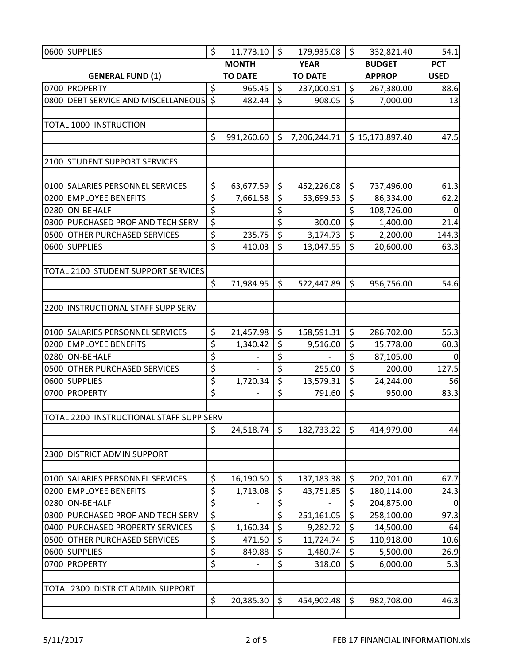| 0600 SUPPLIES                            | \$             | 11,773.10             | \$             | 179,935.08             | \$            | 332,821.40              | 54.1        |
|------------------------------------------|----------------|-----------------------|----------------|------------------------|---------------|-------------------------|-------------|
|                                          |                | <b>MONTH</b>          |                | <b>YEAR</b>            |               | <b>BUDGET</b>           | <b>PCT</b>  |
| <b>GENERAL FUND (1)</b>                  | <b>TO DATE</b> |                       | <b>TO DATE</b> |                        | <b>APPROP</b> |                         | <b>USED</b> |
| 0700 PROPERTY                            | \$             | 965.45                | $\zeta$        | 237,000.91             | $\zeta$       | 267,380.00              | 88.6        |
| 0800 DEBT SERVICE AND MISCELLANEOUS \$   |                | 482.44                | \$             | 908.05                 | $\zeta$       | 7,000.00                | 13          |
|                                          |                |                       |                |                        |               |                         |             |
| TOTAL 1000 INSTRUCTION                   |                |                       |                |                        |               |                         |             |
|                                          | \$             | 991,260.60            | \$             | 7,206,244.71           |               | \$15,173,897.40         | 47.5        |
|                                          |                |                       |                |                        |               |                         |             |
| 2100 STUDENT SUPPORT SERVICES            |                |                       |                |                        |               |                         |             |
|                                          |                |                       |                |                        |               |                         |             |
| 0100 SALARIES PERSONNEL SERVICES         | \$             | 63,677.59             | $\zeta$        | 452,226.08             | \$            | 737,496.00              | 61.3        |
| 0200 EMPLOYEE BENEFITS                   | \$             | 7,661.58              | \$             | 53,699.53              | \$            | 86,334.00               | 62.2        |
| 0280 ON-BEHALF                           | \$             |                       | \$             |                        | \$            | 108,726.00              | 0           |
| 0300 PURCHASED PROF AND TECH SERV        | \$             |                       | \$             | 300.00                 | $\zeta$       | 1,400.00                | 21.4        |
| 0500 OTHER PURCHASED SERVICES            | \$             | 235.75                | \$             | 3,174.73               | \$            | 2,200.00                | 144.3       |
| 0600 SUPPLIES                            | \$             | 410.03                | $\zeta$        | 13,047.55              | \$            | 20,600.00               | 63.3        |
|                                          |                |                       |                |                        |               |                         |             |
| TOTAL 2100 STUDENT SUPPORT SERVICES      |                |                       |                |                        |               |                         |             |
|                                          | \$             | 71,984.95             | \$             | 522,447.89             | \$            | 956,756.00              | 54.6        |
|                                          |                |                       |                |                        |               |                         |             |
| 2200 INSTRUCTIONAL STAFF SUPP SERV       |                |                       |                |                        |               |                         |             |
| 0100 SALARIES PERSONNEL SERVICES         | \$             |                       | \$             |                        | $\zeta$       |                         | 55.3        |
| 0200 EMPLOYEE BENEFITS                   | \$             | 21,457.98<br>1,340.42 | \$             | 158,591.31<br>9,516.00 | \$            | 286,702.00<br>15,778.00 | 60.3        |
| 0280 ON-BEHALF                           | \$             |                       | \$             |                        | \$            | 87,105.00               | $\Omega$    |
| 0500 OTHER PURCHASED SERVICES            | \$             |                       | \$             | 255.00                 | $\zeta$       | 200.00                  | 127.5       |
| 0600 SUPPLIES                            | \$             | 1,720.34              | \$             | 13,579.31              | \$            | 24,244.00               | 56          |
| 0700 PROPERTY                            | \$             |                       | \$             | 791.60                 | \$            | 950.00                  | 83.3        |
|                                          |                |                       |                |                        |               |                         |             |
| TOTAL 2200 INSTRUCTIONAL STAFF SUPP SERV |                |                       |                |                        |               |                         |             |
|                                          | \$             | 24,518.74             | \$             | 182,733.22             | \$            | 414,979.00              | 44          |
|                                          |                |                       |                |                        |               |                         |             |
| 2300 DISTRICT ADMIN SUPPORT              |                |                       |                |                        |               |                         |             |
|                                          |                |                       |                |                        |               |                         |             |
| 0100 SALARIES PERSONNEL SERVICES         | \$             | 16,190.50             | \$             | 137,183.38             | \$            | 202,701.00              | 67.7        |
| 0200 EMPLOYEE BENEFITS                   | \$             | 1,713.08              | \$             | 43,751.85              | \$            | 180,114.00              | 24.3        |
| 0280 ON-BEHALF                           | \$             |                       | \$             |                        | \$            | 204,875.00              | 0           |
| 0300 PURCHASED PROF AND TECH SERV        | \$             |                       | \$             | 251,161.05             | \$            | 258,100.00              | 97.3        |
| 0400 PURCHASED PROPERTY SERVICES         | \$             | 1,160.34              | \$             | 9,282.72               | \$            | 14,500.00               | 64          |
| 0500 OTHER PURCHASED SERVICES            | \$             | 471.50                | \$             | 11,724.74              | \$            | 110,918.00              | 10.6        |
| 0600 SUPPLIES                            | \$             | 849.88                | \$             | 1,480.74               | \$            | 5,500.00                | 26.9        |
| 0700 PROPERTY                            | \$             |                       | \$             | 318.00                 | \$            | 6,000.00                | 5.3         |
|                                          |                |                       |                |                        |               |                         |             |
| TOTAL 2300 DISTRICT ADMIN SUPPORT        |                |                       |                |                        |               |                         |             |
|                                          | \$             | 20,385.30             | \$             | 454,902.48             | \$            | 982,708.00              | 46.3        |
|                                          |                |                       |                |                        |               |                         |             |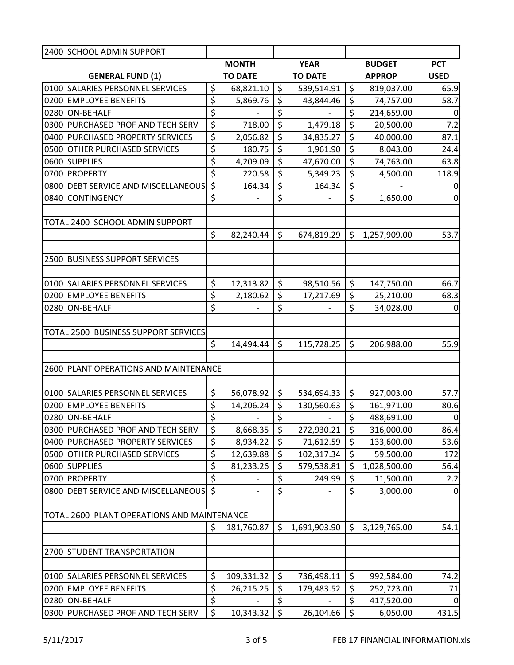| 2400 SCHOOL ADMIN SUPPORT                   |                                 |                              |                  |                          |         |               |                |
|---------------------------------------------|---------------------------------|------------------------------|------------------|--------------------------|---------|---------------|----------------|
|                                             |                                 | <b>MONTH</b>                 |                  | <b>YEAR</b>              |         | <b>BUDGET</b> | <b>PCT</b>     |
| <b>GENERAL FUND (1)</b>                     |                                 | <b>TO DATE</b>               |                  | <b>TO DATE</b>           |         | <b>APPROP</b> | <b>USED</b>    |
| 0100 SALARIES PERSONNEL SERVICES            | \$                              | 68,821.10                    | \$               | 539,514.91               | $\zeta$ | 819,037.00    | 65.9           |
| 0200 EMPLOYEE BENEFITS                      | \$                              | 5,869.76                     | $\overline{\xi}$ | 43,844.46                | \$      | 74,757.00     | 58.7           |
| 0280 ON-BEHALF                              | \$                              |                              | \$               |                          | \$      | 214,659.00    | 0              |
| 0300 PURCHASED PROF AND TECH SERV           | \$                              | 718.00                       | \$               | 1,479.18                 | \$      | 20,500.00     | 7.2            |
| 0400 PURCHASED PROPERTY SERVICES            | \$                              | 2,056.82                     | \$               | 34,835.27                | \$      | 40,000.00     | 87.1           |
| 0500 OTHER PURCHASED SERVICES               | \$                              | 180.75                       | \$               | 1,961.90                 | \$      | 8,043.00      | 24.4           |
| 0600 SUPPLIES                               | \$                              | 4,209.09                     | $\overline{\xi}$ | 47,670.00                | \$      | 74,763.00     | 63.8           |
| 0700 PROPERTY                               | \$                              | 220.58                       | \$               | 5,349.23                 | $\zeta$ | 4,500.00      | 118.9          |
| 0800 DEBT SERVICE AND MISCELLANEOUS         | $\zeta$                         | 164.34                       | \$               | 164.34                   | \$      |               | 0              |
| 0840 CONTINGENCY                            | \$                              | $\qquad \qquad \blacksquare$ | \$               | $\overline{\phantom{0}}$ | \$      | 1,650.00      | 0              |
|                                             |                                 |                              |                  |                          |         |               |                |
| TOTAL 2400 SCHOOL ADMIN SUPPORT             |                                 |                              |                  |                          |         |               |                |
|                                             | \$                              | 82,240.44                    | \$               | 674,819.29               | $\zeta$ | 1,257,909.00  | 53.7           |
|                                             |                                 |                              |                  |                          |         |               |                |
| 2500 BUSINESS SUPPORT SERVICES              |                                 |                              |                  |                          |         |               |                |
|                                             |                                 |                              |                  |                          |         |               |                |
| 0100 SALARIES PERSONNEL SERVICES            | \$                              | 12,313.82                    | \$               | 98,510.56                | \$      | 147,750.00    | 66.7           |
| 0200 EMPLOYEE BENEFITS                      | \$                              | 2,180.62                     | \$               | 17,217.69                | \$      | 25,210.00     | 68.3           |
| 0280 ON-BEHALF                              | \$                              |                              | \$               |                          | \$      | 34,028.00     | 0              |
|                                             |                                 |                              |                  |                          |         |               |                |
| TOTAL 2500 BUSINESS SUPPORT SERVICES        |                                 |                              |                  |                          |         |               |                |
|                                             | \$                              | 14,494.44                    | \$               | 115,728.25               | $\zeta$ | 206,988.00    | 55.9           |
|                                             |                                 |                              |                  |                          |         |               |                |
| 2600 PLANT OPERATIONS AND MAINTENANCE       |                                 |                              |                  |                          |         |               |                |
|                                             |                                 |                              |                  |                          |         |               |                |
| 0100 SALARIES PERSONNEL SERVICES            | \$                              | 56,078.92                    | \$               | 534,694.33               | \$      | 927,003.00    | 57.7           |
| 0200 EMPLOYEE BENEFITS                      | \$                              | 14,206.24                    | \$               | 130,560.63               | \$      | 161,971.00    | 80.6           |
| 0280 ON-BEHALF                              | $\overline{\boldsymbol{\zeta}}$ |                              | \$               | $\overline{\phantom{a}}$ | \$      | 488,691.00    | $\overline{0}$ |
| 0300 PURCHASED PROF AND TECH SERV           | \$                              | 8,668.35                     | \$               | 272,930.21               | \$      | 316,000.00    | 86.4           |
| 0400 PURCHASED PROPERTY SERVICES            | \$                              | 8,934.22                     | $\zeta$          | 71,612.59                | $\zeta$ | 133,600.00    | 53.6           |
| 0500 OTHER PURCHASED SERVICES               | \$                              | 12,639.88                    | \$               | 102,317.34               | \$      | 59,500.00     | 172            |
| 0600 SUPPLIES                               | \$                              | 81,233.26                    | \$               | 579,538.81               | \$      | 1,028,500.00  | 56.4           |
| 0700 PROPERTY                               | \$                              |                              | \$               | 249.99                   | \$      | 11,500.00     | 2.2            |
| 0800 DEBT SERVICE AND MISCELLANEOUS         | $\zeta$                         |                              | \$               |                          | \$      | 3,000.00      | 0              |
|                                             |                                 |                              |                  |                          |         |               |                |
| TOTAL 2600 PLANT OPERATIONS AND MAINTENANCE |                                 |                              |                  |                          |         |               |                |
|                                             | \$                              | 181,760.87                   | \$               | 1,691,903.90             | \$      | 3,129,765.00  | 54.1           |
|                                             |                                 |                              |                  |                          |         |               |                |
| 2700 STUDENT TRANSPORTATION                 |                                 |                              |                  |                          |         |               |                |
|                                             |                                 |                              |                  |                          |         |               |                |
| 0100 SALARIES PERSONNEL SERVICES            | \$                              | 109,331.32                   | \$               | 736,498.11               | $\zeta$ | 992,584.00    | 74.2           |
| 0200 EMPLOYEE BENEFITS                      | \$                              | 26,215.25                    | \$               | 179,483.52               | $\zeta$ | 252,723.00    | 71             |
| 0280 ON-BEHALF                              | \$                              |                              | \$               |                          | \$      | 417,520.00    |                |
| 0300 PURCHASED PROF AND TECH SERV           | \$                              | 10,343.32                    | \$               | 26,104.66                | $\zeta$ | 6,050.00      | 431.5          |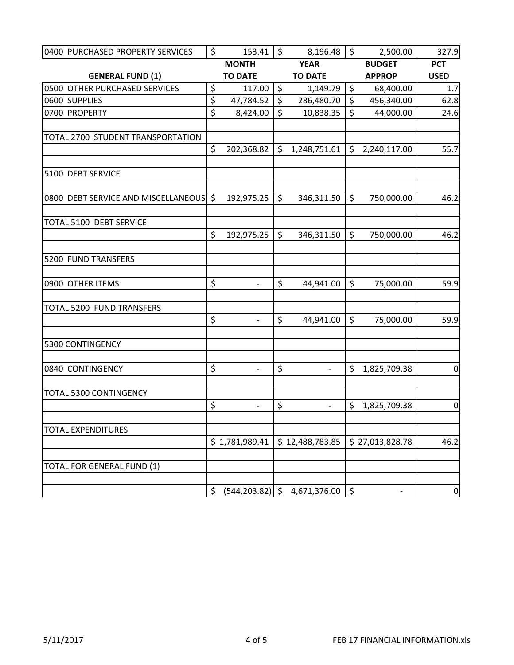| 0400 PURCHASED PROPERTY SERVICES       | \$                     | 153.41                       | $\zeta$ | 8,196.48                 | \$      | 2,500.00        | 327.9           |
|----------------------------------------|------------------------|------------------------------|---------|--------------------------|---------|-----------------|-----------------|
|                                        |                        | <b>MONTH</b>                 |         | <b>YEAR</b>              |         | <b>BUDGET</b>   | <b>PCT</b>      |
| <b>GENERAL FUND (1)</b>                |                        | <b>TO DATE</b>               |         | <b>TO DATE</b>           |         | <b>APPROP</b>   | <b>USED</b>     |
| 0500 OTHER PURCHASED SERVICES          | \$                     | 117.00                       | \$      | 1,149.79                 | \$      | 68,400.00       | 1.7             |
| 0600 SUPPLIES                          | $\overline{\varsigma}$ | 47,784.52                    | \$      | 286,480.70               | $\zeta$ | 456,340.00      | 62.8            |
| 0700 PROPERTY                          | \$                     | 8,424.00                     | \$      | 10,838.35                | $\zeta$ | 44,000.00       | 24.6            |
| TOTAL 2700 STUDENT TRANSPORTATION      |                        |                              |         |                          |         |                 |                 |
|                                        | \$                     | 202,368.82                   | \$      | 1,248,751.61             | \$      | 2,240,117.00    | 55.7            |
| 5100 DEBT SERVICE                      |                        |                              |         |                          |         |                 |                 |
| 0800 DEBT SERVICE AND MISCELLANEOUS \$ |                        | 192,975.25                   | \$      | 346,311.50               | \$      | 750,000.00      | 46.2            |
| TOTAL 5100 DEBT SERVICE                |                        |                              |         |                          |         |                 |                 |
|                                        | \$                     | 192,975.25                   | \$      | 346,311.50               | \$      | 750,000.00      | 46.2            |
| 5200 FUND TRANSFERS                    |                        |                              |         |                          |         |                 |                 |
| 0900 OTHER ITEMS                       | \$                     | $\overline{\phantom{0}}$     | \$      | 44,941.00                | \$      | 75,000.00       | 59.9            |
| TOTAL 5200 FUND TRANSFERS              |                        |                              |         |                          |         |                 |                 |
|                                        | \$                     | $\overline{\phantom{a}}$     | \$      | 44,941.00                | \$      | 75,000.00       | 59.9            |
| 5300 CONTINGENCY                       |                        |                              |         |                          |         |                 |                 |
| 0840 CONTINGENCY                       | \$                     | $\qquad \qquad -$            | \$      | $\overline{\phantom{a}}$ | \$      | 1,825,709.38    | 0               |
| <b>TOTAL 5300 CONTINGENCY</b>          |                        |                              |         |                          |         |                 |                 |
|                                        | \$                     | $\qquad \qquad \blacksquare$ | \$      | $\overline{\phantom{a}}$ | \$      | 1,825,709.38    | $\overline{0}$  |
| <b>TOTAL EXPENDITURES</b>              |                        | \$1,781,989.41               |         | \$12,488,783.85          |         | \$27,013,828.78 | 46.2            |
|                                        |                        |                              |         |                          |         |                 |                 |
| TOTAL FOR GENERAL FUND (1)             |                        |                              |         |                          |         |                 |                 |
|                                        | \$                     | $(544, 203.82)$ \$           |         | 4,671,376.00             | \$      |                 | $\vert 0 \vert$ |